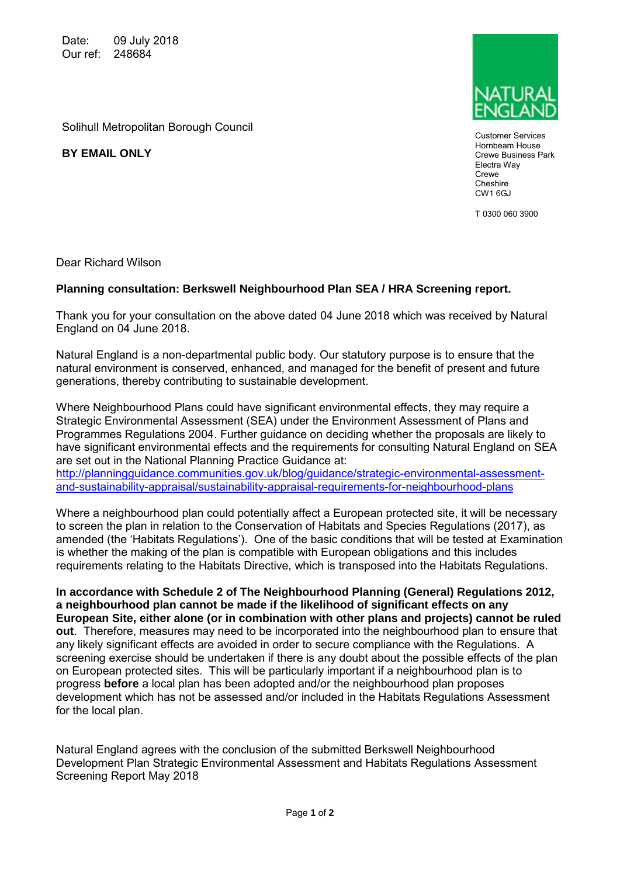Date: 09 July 2018 Our ref: 248684

Solihull Metropolitan Borough Council

**BY EMAIL ONLY**



Customer Services Hornbeam House Crewe Business Park Electra Way **Crewe Cheshire** CW1 6GJ

T 0300 060 3900

Dear Richard Wilson

## **Planning consultation: Berkswell Neighbourhood Plan SEA / HRA Screening report.**

Thank you for your consultation on the above dated 04 June 2018 which was received by Natural England on 04 June 2018.

Natural England is a non-departmental public body. Our statutory purpose is to ensure that the natural environment is conserved, enhanced, and managed for the benefit of present and future generations, thereby contributing to sustainable development.

Where Neighbourhood Plans could have significant environmental effects, they may require a Strategic Environmental Assessment (SEA) under the Environment Assessment of Plans and Programmes Regulations 2004. Further guidance on deciding whether the proposals are likely to have significant environmental effects and the requirements for consulting Natural England on SEA are set out in the National Planning Practice Guidance at:

[http://planningguidance.communities.gov.uk/blog/guidance/strategic-environmental-assessment](http://planningguidance.communities.gov.uk/blog/guidance/strategic-environmental-assessment-and-sustainability-appraisal/sustainability-appraisal-requirements-for-neighbourhood-plans)[and-sustainability-appraisal/sustainability-appraisal-requirements-for-neighbourhood-plans](http://planningguidance.communities.gov.uk/blog/guidance/strategic-environmental-assessment-and-sustainability-appraisal/sustainability-appraisal-requirements-for-neighbourhood-plans)

Where a neighbourhood plan could potentially affect a European protected site, it will be necessary to screen the plan in relation to the Conservation of Habitats and Species Regulations (2017), as amended (the 'Habitats Regulations'). One of the basic conditions that will be tested at Examination is whether the making of the plan is compatible with European obligations and this includes requirements relating to the Habitats Directive, which is transposed into the Habitats Regulations.

**In accordance with Schedule 2 of The Neighbourhood Planning (General) Regulations 2012, a neighbourhood plan cannot be made if the likelihood of significant effects on any European Site, either alone (or in combination with other plans and projects) cannot be ruled out**. Therefore, measures may need to be incorporated into the neighbourhood plan to ensure that any likely significant effects are avoided in order to secure compliance with the Regulations. A screening exercise should be undertaken if there is any doubt about the possible effects of the plan on European protected sites. This will be particularly important if a neighbourhood plan is to progress **before** a local plan has been adopted and/or the neighbourhood plan proposes development which has not be assessed and/or included in the Habitats Regulations Assessment for the local plan.

Natural England agrees with the conclusion of the submitted Berkswell Neighbourhood Development Plan Strategic Environmental Assessment and Habitats Regulations Assessment Screening Report May 2018